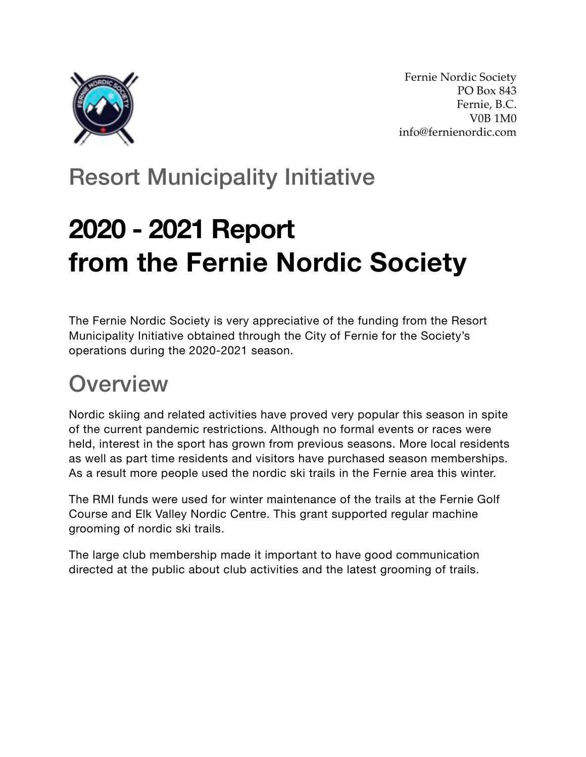

Fernie Nordic Society PO Box 843 Fernie, B.C. V0B 1M0 info@fernienordic.com

### Resort Municipality Initiative

# **2020 - 2021 Report from the Fernie Nordic Society**

The Fernie Nordic Society is very appreciative of the funding from the Resort Municipality Initiative obtained through the City of Fernie for the Society's operations during the 2020-2021 season.

### **Overview**

Nordic skiing and related activities have proved very popular this season in spite of the current pandemic restrictions. Although no formal events or races were held, interest in the sport has grown from previous seasons. More local residents as well as part time residents and visitors have purchased season memberships. As a result more people used the nordic ski trails in the Fernie area this winter.

The RMI funds were used for winter maintenance of the trails at the Fernie Golf Course and Elk Valley Nordic Centre. This grant supported regular machine grooming of nordic ski trails.

The large club membership made it important to have good communication directed at the public about club activities and the latest grooming of trails.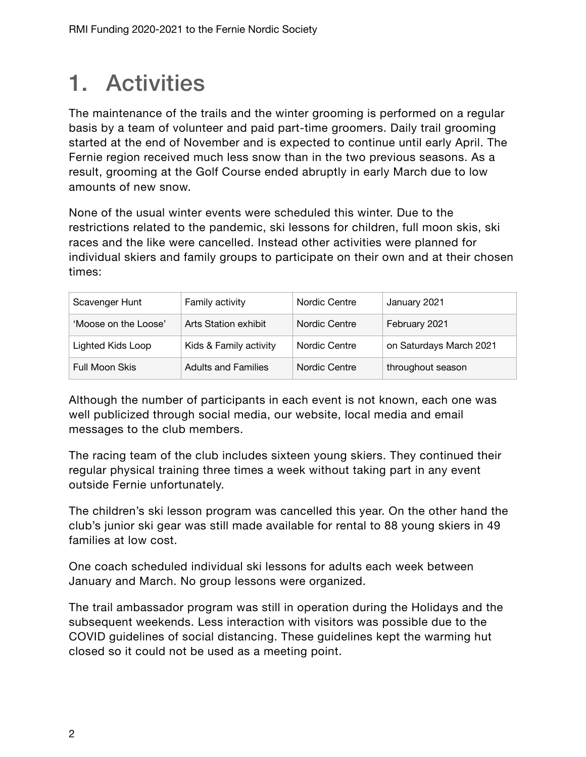### 1. Activities

The maintenance of the trails and the winter grooming is performed on a regular basis by a team of volunteer and paid part-time groomers. Daily trail grooming started at the end of November and is expected to continue until early April. The Fernie region received much less snow than in the two previous seasons. As a result, grooming at the Golf Course ended abruptly in early March due to low amounts of new snow.

None of the usual winter events were scheduled this winter. Due to the restrictions related to the pandemic, ski lessons for children, full moon skis, ski races and the like were cancelled. Instead other activities were planned for individual skiers and family groups to participate on their own and at their chosen times:

| Scavenger Hunt           | Family activity            | Nordic Centre | January 2021            |
|--------------------------|----------------------------|---------------|-------------------------|
| 'Moose on the Loose'     | Arts Station exhibit       | Nordic Centre | February 2021           |
| <b>Lighted Kids Loop</b> | Kids & Family activity     | Nordic Centre | on Saturdays March 2021 |
| <b>Full Moon Skis</b>    | <b>Adults and Families</b> | Nordic Centre | throughout season       |

Although the number of participants in each event is not known, each one was well publicized through social media, our website, local media and email messages to the club members.

The racing team of the club includes sixteen young skiers. They continued their regular physical training three times a week without taking part in any event outside Fernie unfortunately.

The children's ski lesson program was cancelled this year. On the other hand the club's junior ski gear was still made available for rental to 88 young skiers in 49 families at low cost.

One coach scheduled individual ski lessons for adults each week between January and March. No group lessons were organized.

The trail ambassador program was still in operation during the Holidays and the subsequent weekends. Less interaction with visitors was possible due to the COVID guidelines of social distancing. These guidelines kept the warming hut closed so it could not be used as a meeting point.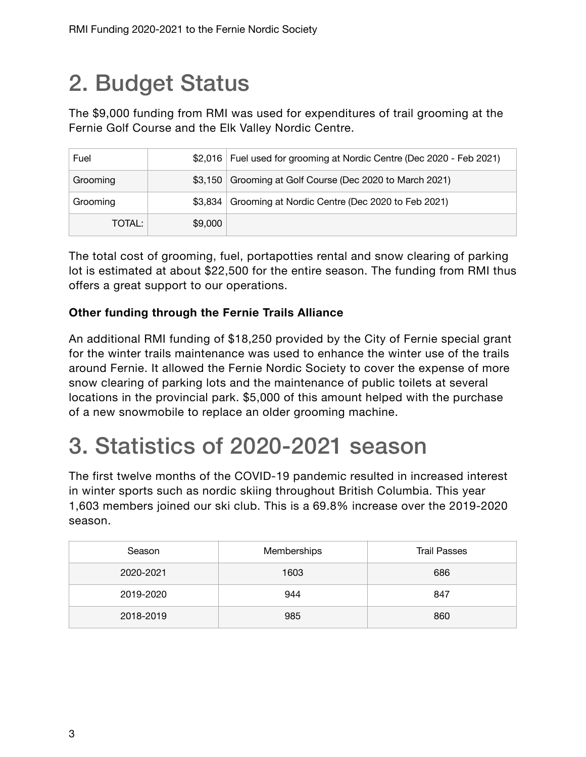### 2. Budget Status

The \$9,000 funding from RMI was used for expenditures of trail grooming at the Fernie Golf Course and the Elk Valley Nordic Centre.

| Fuel     |         | \$2,016 Fuel used for grooming at Nordic Centre (Dec 2020 - Feb 2021) |
|----------|---------|-----------------------------------------------------------------------|
| Grooming |         | \$3,150 Grooming at Golf Course (Dec 2020 to March 2021)              |
| Grooming |         | \$3,834 Grooming at Nordic Centre (Dec 2020 to Feb 2021)              |
| TOTAL:   | \$9,000 |                                                                       |

The total cost of grooming, fuel, portapotties rental and snow clearing of parking lot is estimated at about \$22,500 for the entire season. The funding from RMI thus offers a great support to our operations.

#### **Other funding through the Fernie Trails Alliance**

An additional RMI funding of \$18,250 provided by the City of Fernie special grant for the winter trails maintenance was used to enhance the winter use of the trails around Fernie. It allowed the Fernie Nordic Society to cover the expense of more snow clearing of parking lots and the maintenance of public toilets at several locations in the provincial park. \$5,000 of this amount helped with the purchase of a new snowmobile to replace an older grooming machine.

### 3. Statistics of 2020-2021 season

The first twelve months of the COVID-19 pandemic resulted in increased interest in winter sports such as nordic skiing throughout British Columbia. This year 1,603 members joined our ski club. This is a 69.8% increase over the 2019-2020 season.

| Season    | <b>Memberships</b> | <b>Trail Passes</b> |
|-----------|--------------------|---------------------|
| 2020-2021 | 1603               | 686                 |
| 2019-2020 | 944                | 847                 |
| 2018-2019 | 985                | 860                 |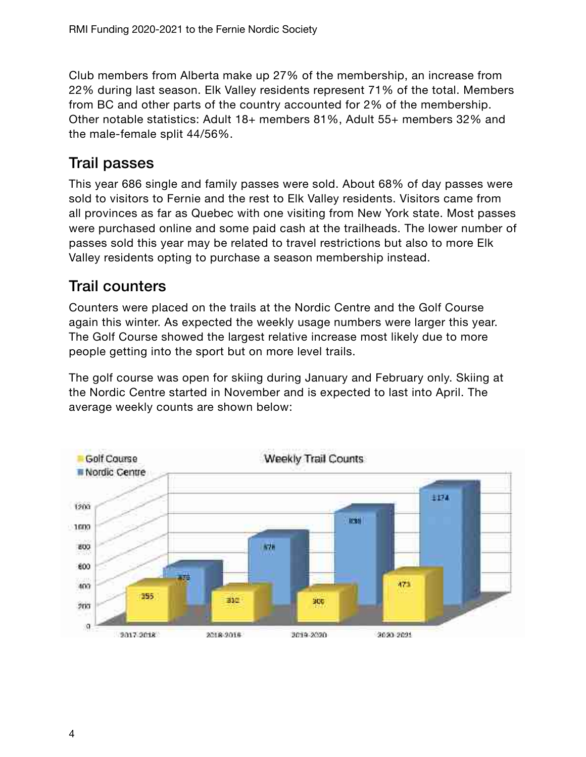Club members from Alberta make up 27% of the membership, an increase from 22% during last season. Elk Valley residents represent 71% of the total. Members from BC and other parts of the country accounted for 2% of the membership. Other notable statistics: Adult 18+ members 81%, Adult 55+ members 32% and the male-female split 44/56%.

#### Trail passes

This year 686 single and family passes were sold. About 68% of day passes were sold to visitors to Fernie and the rest to Elk Valley residents. Visitors came from all provinces as far as Quebec with one visiting from New York state. Most passes were purchased online and some paid cash at the trailheads. The lower number of passes sold this year may be related to travel restrictions but also to more Elk Valley residents opting to purchase a season membership instead.

#### Trail counters

Counters were placed on the trails at the Nordic Centre and the Golf Course again this winter. As expected the weekly usage numbers were larger this year. The Golf Course showed the largest relative increase most likely due to more people getting into the sport but on more level trails.

The golf course was open for skiing during January and February only. Skiing at the Nordic Centre started in November and is expected to last into April. The average weekly counts are shown below:

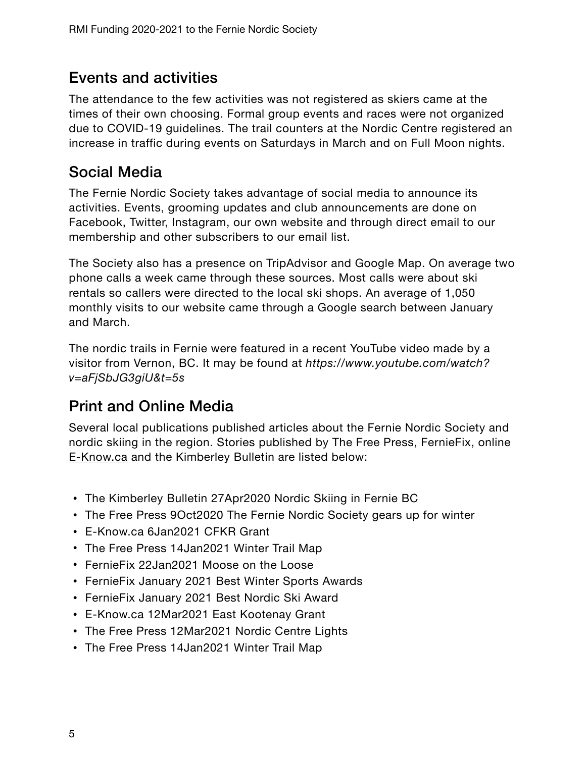#### Events and activities

The attendance to the few activities was not registered as skiers came at the times of their own choosing. Formal group events and races were not organized due to COVID-19 guidelines. The trail counters at the Nordic Centre registered an increase in traffic during events on Saturdays in March and on Full Moon nights.

#### Social Media

The Fernie Nordic Society takes advantage of social media to announce its activities. Events, grooming updates and club announcements are done on Facebook, Twitter, Instagram, our own website and through direct email to our membership and other subscribers to our email list.

The Society also has a presence on TripAdvisor and Google Map. On average two phone calls a week came through these sources. Most calls were about ski rentals so callers were directed to the local ski shops. An average of 1,050 monthly visits to our website came through a Google search between January and March.

The nordic trails in Fernie were featured in a recent YouTube video made by a visitor from Vernon, BC. It may be found at *https://www.youtube.com/watch? v=aFjSbJG3giU&t=5s*

### Print and Online Media

Several local publications published articles about the Fernie Nordic Society and nordic skiing in the region. Stories published by The Free Press, FernieFix, online [E-Know.ca](http://E-Know.ca) and the Kimberley Bulletin are listed below:

- The Kimberley Bulletin 27Apr2020 Nordic Skiing in Fernie BC
- The Free Press 9Oct2020 The Fernie Nordic Society gears up for winter
- [E-Know.ca](http://E-Know.ca) 6Jan2021 CFKR Grant
- The Free Press 14Jan2021 Winter Trail Map
- FernieFix 22Jan2021 Moose on the Loose
- FernieFix January 2021 Best Winter Sports Awards
- FernieFix January 2021 Best Nordic Ski Award
- [E-Know.ca](http://E-Know.ca) 12Mar2021 East Kootenay Grant
- The Free Press 12Mar2021 Nordic Centre Lights
- The Free Press 14Jan2021 Winter Trail Map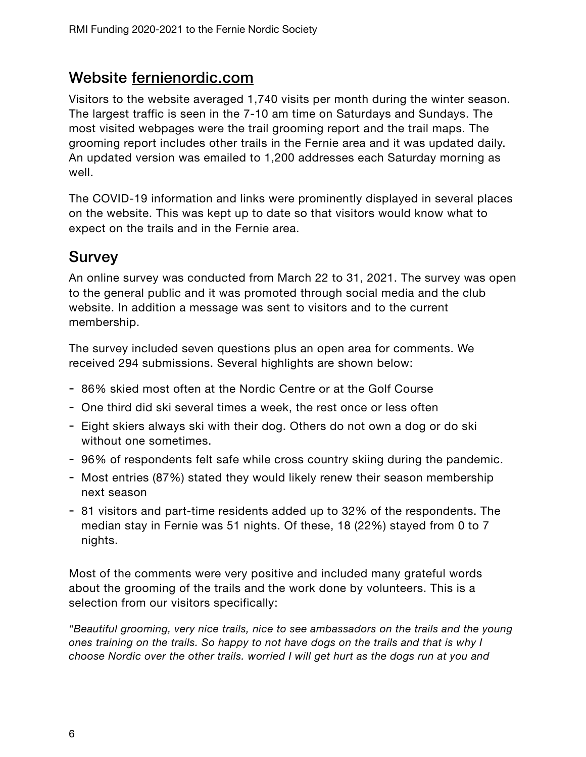#### Website [fernienordic.com](http://fernienordic.com)

Visitors to the website averaged 1,740 visits per month during the winter season. The largest traffic is seen in the 7-10 am time on Saturdays and Sundays. The most visited webpages were the trail grooming report and the trail maps. The grooming report includes other trails in the Fernie area and it was updated daily. An updated version was emailed to 1,200 addresses each Saturday morning as well.

The COVID-19 information and links were prominently displayed in several places on the website. This was kept up to date so that visitors would know what to expect on the trails and in the Fernie area.

#### **Survey**

An online survey was conducted from March 22 to 31, 2021. The survey was open to the general public and it was promoted through social media and the club website. In addition a message was sent to visitors and to the current membership.

The survey included seven questions plus an open area for comments. We received 294 submissions. Several highlights are shown below:

- 86% skied most often at the Nordic Centre or at the Golf Course
- One third did ski several times a week, the rest once or less often
- Eight skiers always ski with their dog. Others do not own a dog or do ski without one sometimes.
- 96% of respondents felt safe while cross country skiing during the pandemic.
- Most entries (87%) stated they would likely renew their season membership next season
- 81 visitors and part-time residents added up to 32% of the respondents. The median stay in Fernie was 51 nights. Of these, 18 (22%) stayed from 0 to 7 nights.

Most of the comments were very positive and included many grateful words about the grooming of the trails and the work done by volunteers. This is a selection from our visitors specifically:

*"Beautiful grooming, very nice trails, nice to see ambassadors on the trails and the young ones training on the trails. So happy to not have dogs on the trails and that is why I choose Nordic over the other trails. worried I will get hurt as the dogs run at you and*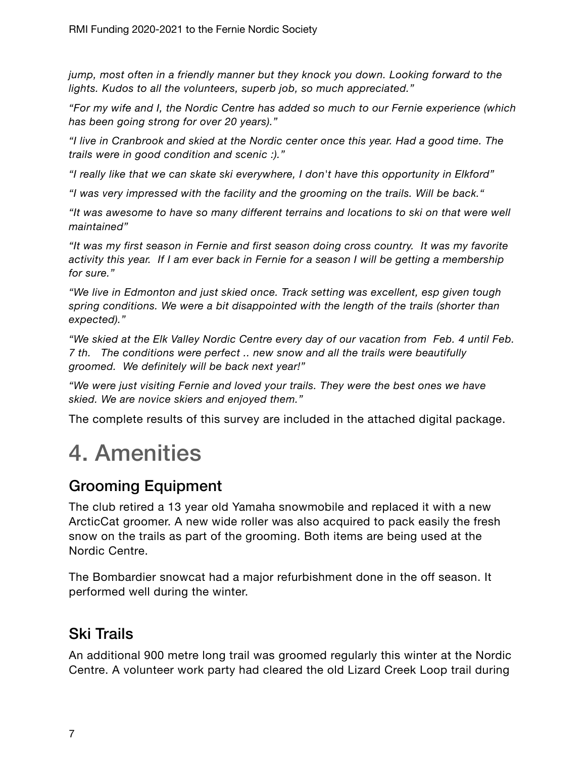*jump, most often in a friendly manner but they knock you down. Looking forward to the lights. Kudos to all the volunteers, superb job, so much appreciated."* 

*"For my wife and I, the Nordic Centre has added so much to our Fernie experience (which has been going strong for over 20 years)."* 

*"I live in Cranbrook and skied at the Nordic center once this year. Had a good time. The trails were in good condition and scenic :)."* 

*"I really like that we can skate ski everywhere, I don't have this opportunity in Elkford"* 

*"I was very impressed with the facility and the grooming on the trails. Will be back."* 

*"It was awesome to have so many different terrains and locations to ski on that were well maintained"* 

*"It was my first season in Fernie and first season doing cross country. It was my favorite activity this year. If I am ever back in Fernie for a season I will be getting a membership for sure."* 

*"We live in Edmonton and just skied once. Track setting was excellent, esp given tough spring conditions. We were a bit disappointed with the length of the trails (shorter than expected)."* 

*"We skied at the Elk Valley Nordic Centre every day of our vacation from Feb. 4 until Feb. 7 th. The conditions were perfect .. new snow and all the trails were beautifully groomed. We definitely will be back next year!"* 

*"We were just visiting Fernie and loved your trails. They were the best ones we have skied. We are novice skiers and enjoyed them."* 

The complete results of this survey are included in the attached digital package.

### 4. Amenities

### Grooming Equipment

The club retired a 13 year old Yamaha snowmobile and replaced it with a new ArcticCat groomer. A new wide roller was also acquired to pack easily the fresh snow on the trails as part of the grooming. Both items are being used at the Nordic Centre.

The Bombardier snowcat had a major refurbishment done in the off season. It performed well during the winter.

#### Ski Trails

An additional 900 metre long trail was groomed regularly this winter at the Nordic Centre. A volunteer work party had cleared the old Lizard Creek Loop trail during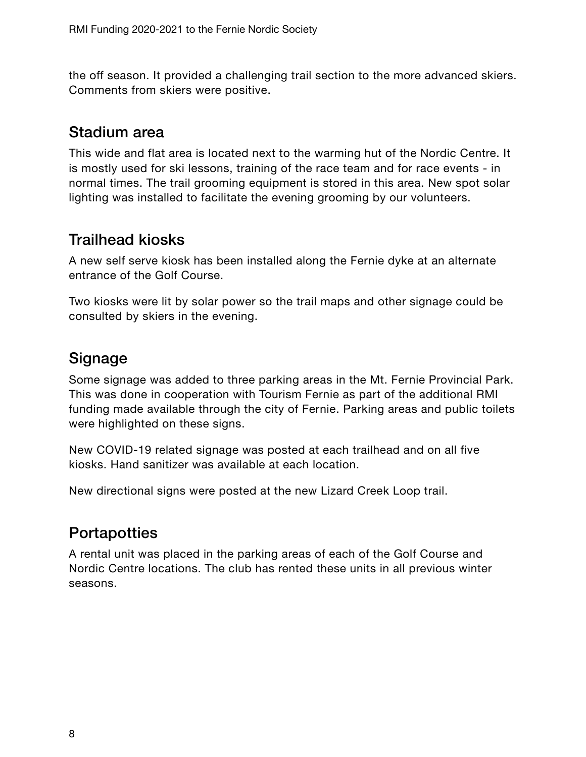the off season. It provided a challenging trail section to the more advanced skiers. Comments from skiers were positive.

#### Stadium area

This wide and flat area is located next to the warming hut of the Nordic Centre. It is mostly used for ski lessons, training of the race team and for race events - in normal times. The trail grooming equipment is stored in this area. New spot solar lighting was installed to facilitate the evening grooming by our volunteers.

#### Trailhead kiosks

A new self serve kiosk has been installed along the Fernie dyke at an alternate entrance of the Golf Course.

Two kiosks were lit by solar power so the trail maps and other signage could be consulted by skiers in the evening.

#### **Signage**

Some signage was added to three parking areas in the Mt. Fernie Provincial Park. This was done in cooperation with Tourism Fernie as part of the additional RMI funding made available through the city of Fernie. Parking areas and public toilets were highlighted on these signs.

New COVID-19 related signage was posted at each trailhead and on all five kiosks. Hand sanitizer was available at each location.

New directional signs were posted at the new Lizard Creek Loop trail.

#### **Portapotties**

A rental unit was placed in the parking areas of each of the Golf Course and Nordic Centre locations. The club has rented these units in all previous winter seasons.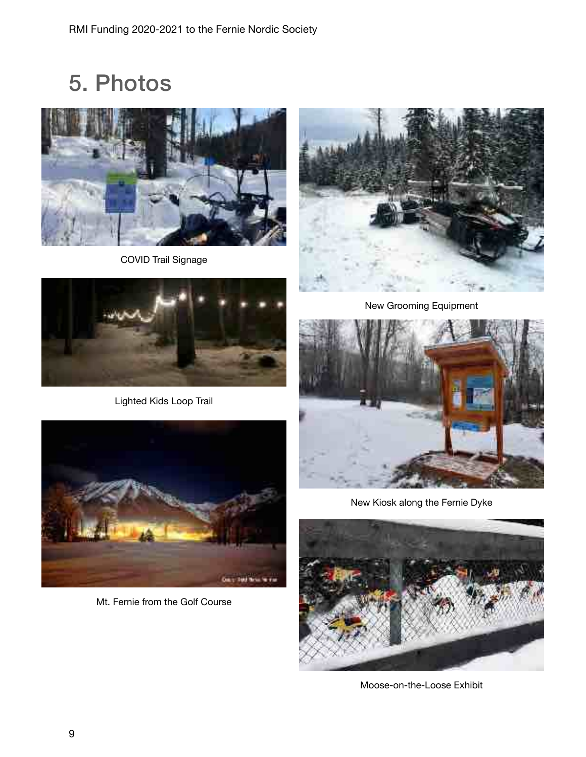5. Photos



COVID Trail Signage



Lighted Kids Loop Trail



Mt. Fernie from the Golf Course



New Grooming Equipment



New Kiosk along the Fernie Dyke



Moose-on-the-Loose Exhibit